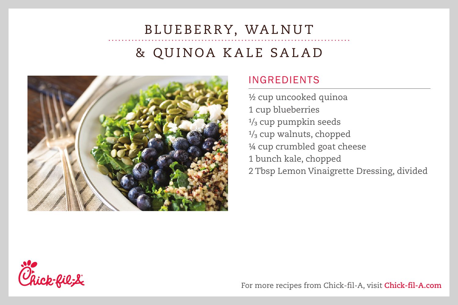# BLUEBERRY, WALNUT & QUINOA KALE SALAD



#### INGREDIENTS

½ cup uncooked quinoa 1 cup blueberries 1/ 3 cup pumpkin seeds 1/ 3 cup walnuts, chopped ¼ cup crumbled goat cheese 1 bunch kale, chopped 2 Tbsp Lemon Vinaigrette Dressing, divided



For more recipes from Chick-fil-A, visit **Chick-fil-A.com**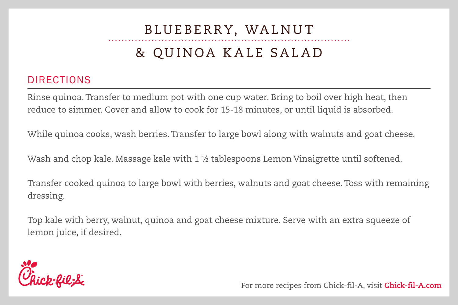# BLUEBERRY, WALNUT & QUINOA KALE SALAD

#### DIRECTIONS

Rinse quinoa. Transfer to medium pot with one cup water. Bring to boil over high heat, then reduce to simmer. Cover and allow to cook for 15-18 minutes, or until liquid is absorbed.

While quinoa cooks, wash berries. Transfer to large bowl along with walnuts and goat cheese.

Wash and chop kale. Massage kale with 1 ½ tablespoons Lemon Vinaigrette until softened.

Transfer cooked quinoa to large bowl with berries, walnuts and goat cheese. Toss with remaining dressing.

Top kale with berry, walnut, quinoa and goat cheese mixture. Serve with an extra squeeze of lemon juice, if desired.



For more recipes from Chick-fil-A, visit **Chick-fil-A.com**